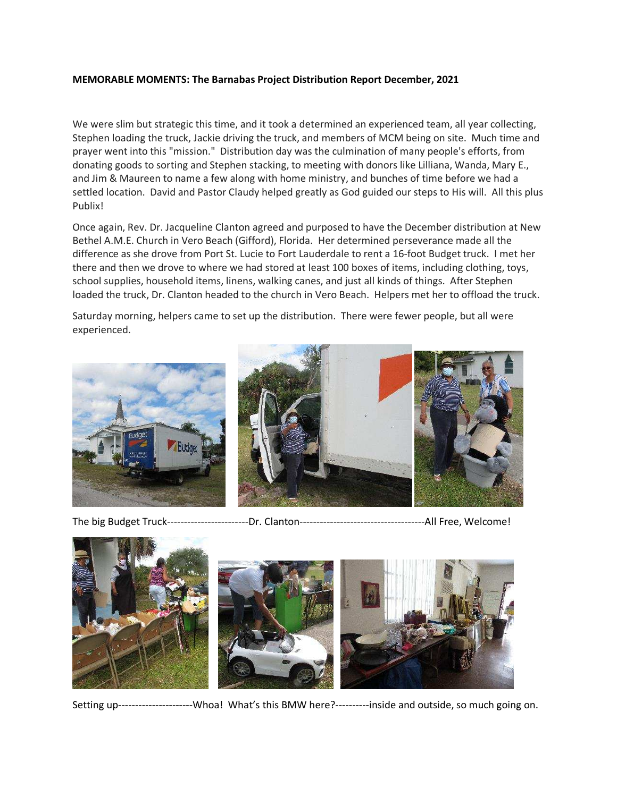## MEMORABLE MOMENTS: The Barnabas Project Distribution Report December, 2021

We were slim but strategic this time, and it took a determined an experienced team, all year collecting, Stephen loading the truck, Jackie driving the truck, and members of MCM being on site. Much time and prayer went into this "mission." Distribution day was the culmination of many people's efforts, from donating goods to sorting and Stephen stacking, to meeting with donors like Lilliana, Wanda, Mary E., and Jim & Maureen to name a few along with home ministry, and bunches of time before we had a settled location. David and Pastor Claudy helped greatly as God guided our steps to His will. All this plus Publix!

Once again, Rev. Dr. Jacqueline Clanton agreed and purposed to have the December distribution at New Bethel A.M.E. Church in Vero Beach (Gifford), Florida. Her determined perseverance made all the difference as she drove from Port St. Lucie to Fort Lauderdale to rent a 16-foot Budget truck. I met her there and then we drove to where we had stored at least 100 boxes of items, including clothing, toys, school supplies, household items, linens, walking canes, and just all kinds of things. After Stephen loaded the truck, Dr. Clanton headed to the church in Vero Beach. Helpers met her to offload the truck.

Saturday morning, helpers came to set up the distribution. There were fewer people, but all were experienced.



The big Budget Truck------------------------Dr. Clanton-------------------------------------All Free, Welcome!



Setting up----------------------Whoa! What's this BMW here?----------inside and outside, so much going on.